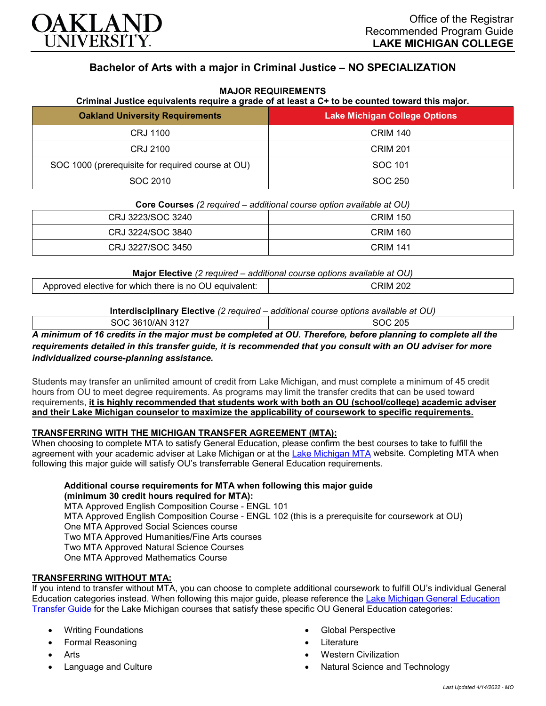

# **Bachelor of Arts with a major in Criminal Justice – NO SPECIALIZATION**

| Criminal Justice equivalents require a grade of at least a C+ to be counted toward this major. |                               |
|------------------------------------------------------------------------------------------------|-------------------------------|
| <b>Oakland University Requirements</b>                                                         | Lake Michigan College Options |
| CRJ 1100                                                                                       | <b>CRIM 140</b>               |
| CRJ 2100                                                                                       | <b>CRIM 201</b>               |
| SOC 1000 (prerequisite for required course at OU)                                              | SOC 101                       |
| SOC 2010                                                                                       | SOC 250                       |

#### **MAJOR REQUIREMENTS**

**Core Courses** *(2 required – additional course option available at OU)*

| CRJ 3223/SOC 3240 | CRIM 150        |
|-------------------|-----------------|
| CRJ 3224/SOC 3840 | <b>CRIM 160</b> |
| CRJ 3227/SOC 3450 | <b>CRIM 141</b> |

**Major Elective** *(2 required – additional course options available at OU)*

| there is<br>no<br>whicr<br>elective<br>w<br>ног |
|-------------------------------------------------|
|-------------------------------------------------|

|                  | Interdisciplinary Elective (2 required – additional course options available at OU) |
|------------------|-------------------------------------------------------------------------------------|
| SOC 3610/AN 3127 | SOC 205                                                                             |

*A minimum of 16 credits in the major must be completed at OU. Therefore, before planning to complete all the requirements detailed in this transfer guide, it is recommended that you consult with an OU adviser for more individualized course-planning assistance.*

Students may transfer an unlimited amount of credit from Lake Michigan, and must complete a minimum of 45 credit hours from OU to meet degree requirements. As programs may limit the transfer credits that can be used toward requirements, **it is highly recommended that students work with both an OU (school/college) academic adviser and their Lake Michigan counselor to maximize the applicability of coursework to specific requirements.**

### **TRANSFERRING WITH THE MICHIGAN TRANSFER AGREEMENT (MTA):**

When choosing to complete MTA to satisfy General Education, please confirm the best courses to take to fulfill the agreement with your academic adviser at Lake Michigan or at the [Lake Michigan MTA](https://www.lakemichigancollege.edu/academics/educational-goals/transfer/transfer-information) website. Completing MTA when following this major guide will satisfy OU's transferrable General Education requirements.

## **Additional course requirements for MTA when following this major guide (minimum 30 credit hours required for MTA):**

MTA Approved English Composition Course - ENGL 101 MTA Approved English Composition Course - ENGL 102 (this is a prerequisite for coursework at OU) One MTA Approved Social Sciences course Two MTA Approved Humanities/Fine Arts courses Two MTA Approved Natural Science Courses One MTA Approved Mathematics Course

## **TRANSFERRING WITHOUT MTA:**

If you intend to transfer without MTA, you can choose to complete additional coursework to fulfill OU's individual General Education categories instead. When following this major guide, please reference the [Lake Michigan General Education](https://www.oakland.edu/Assets/Oakland/program-guides/lake-michigan-college/university-general-education-requirements/Lake%20Michigan%20Gen%20Ed.pdf)  [Transfer Guide](https://www.oakland.edu/Assets/Oakland/program-guides/lake-michigan-college/university-general-education-requirements/Lake%20Michigan%20Gen%20Ed.pdf) for the Lake Michigan courses that satisfy these specific OU General Education categories:

- Writing Foundations
- Formal Reasoning
- **Arts**
- Language and Culture
- Global Perspective
- **Literature**
- Western Civilization
- Natural Science and Technology